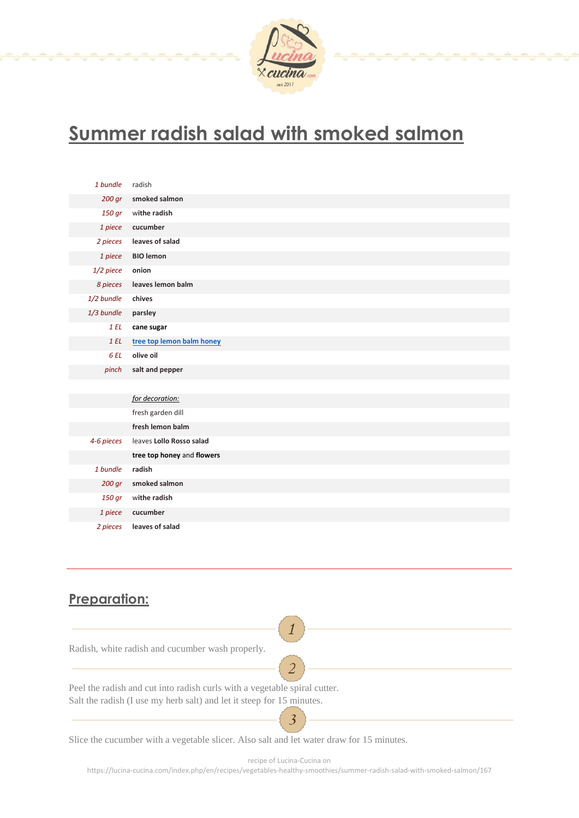

## **Summer radish salad with smoked salmon**

| 1 bundle   | radish                     |
|------------|----------------------------|
| 200 gr     | smoked salmon              |
| 150 gr     | withe radish               |
| 1 piece    | cucumber                   |
| 2 pieces   | leaves of salad            |
| 1 piece    | <b>BIO</b> lemon           |
| 1/2 piece  | onion                      |
| 8 pieces   | leaves lemon balm          |
| 1/2 bundle | chives                     |
| 1/3 bundle | parsley                    |
| 1EL        | cane sugar                 |
| 1EL        | tree top lemon balm honey  |
| 6 EL       | olive oil                  |
| pinch      | salt and pepper            |
|            |                            |
|            | for decoration:            |
|            | fresh garden dill          |
|            | fresh lemon balm           |
| 4-6 pieces | leaves Lollo Rosso salad   |
|            | tree top honey and flowers |
| 1 bundle   | radish                     |
| 200 gr     | smoked salmon              |
| 150 gr     | withe radish               |
| 1 piece    | cucumber                   |
| 2 pieces   | leaves of salad            |

## **Preparation:**

| Radish, white radish and cucumber wash properly.                          |
|---------------------------------------------------------------------------|
|                                                                           |
| Peel the radish and cut into radish curls with a vegetable spiral cutter. |
| Salt the radish (I use my herb salt) and let it steep for 15 minutes.     |
|                                                                           |

Slice the cucumber with a vegetable slicer. Also salt and let water draw for 15 minutes.

recipe of Lucina-Cucina on

3

https://lucina-cucina.com/index.php/en/recipes/vegetables-healthy-smoothies/summer-radish-salad-with-smoked-salmon/167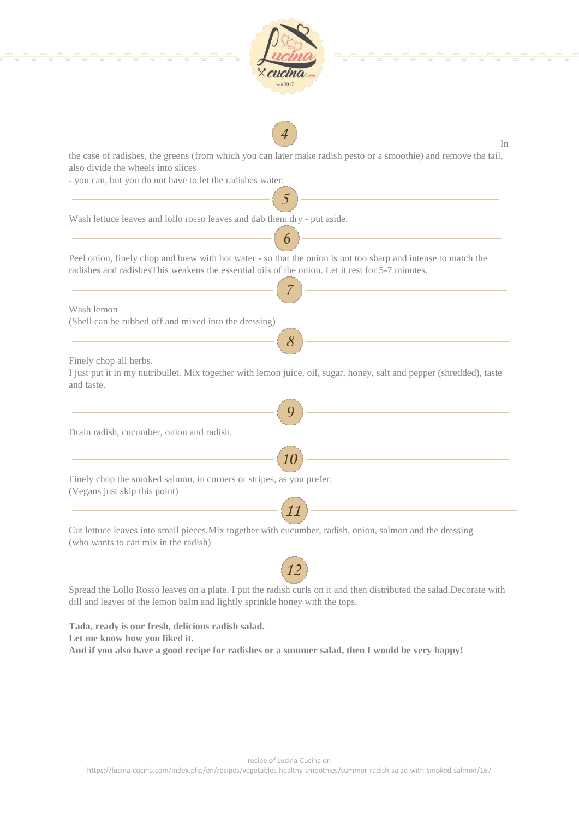| In                                                                                                                                                     |
|--------------------------------------------------------------------------------------------------------------------------------------------------------|
| the case of radishes, the greens (from which you can later make radish pesto or a smoothie) and remove the tail,<br>also divide the wheels into slices |
| - you can, but you do not have to let the radishes water.                                                                                              |
|                                                                                                                                                        |
| Wash lettuce leaves and lollo rosso leaves and dab them dry - put aside.                                                                               |
|                                                                                                                                                        |
| Peel onion, finely chop and brew with hot water - so that the onion is not too sharp and intense to match the                                          |
| radishes and radishes This weakens the essential oils of the onion. Let it rest for 5-7 minutes.                                                       |
|                                                                                                                                                        |
| Wash lemon                                                                                                                                             |
| (Shell can be rubbed off and mixed into the dressing)                                                                                                  |
| 8                                                                                                                                                      |
| Finely chop all herbs.                                                                                                                                 |
| I just put it in my nutribullet. Mix together with lemon juice, oil, sugar, honey, salt and pepper (shredded), taste                                   |
| and taste.                                                                                                                                             |
|                                                                                                                                                        |
| Drain radish, cucumber, onion and radish.                                                                                                              |
|                                                                                                                                                        |
|                                                                                                                                                        |
| Finely chop the smoked salmon, in corners or stripes, as you prefer.<br>(Vegans just skip this point)                                                  |
|                                                                                                                                                        |
|                                                                                                                                                        |
| Cut lettuce leaves into small pieces. Mix together with cucumber, radish, onion, salmon and the dressing<br>(who wants to can mix in the radish)       |
|                                                                                                                                                        |
|                                                                                                                                                        |

**Tada, ready is our fresh, delicious radish salad. Let me know how you liked it. And if you also have a good recipe for radishes or a summer salad, then I would be very happy!**